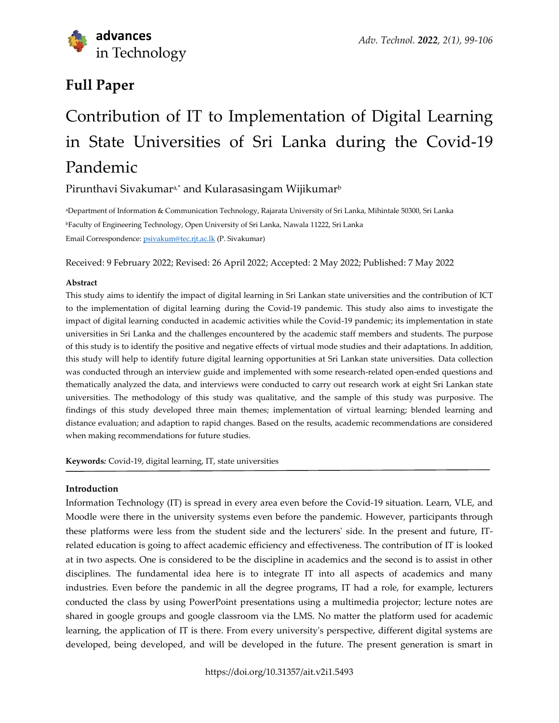

# **Full Paper**

# Contribution of IT to Implementation of Digital Learning in State Universities of Sri Lanka during the Covid-19 Pandemic

Pirunthavi Sivakumar<sup>a,\*</sup> and Kularasasingam Wijikumar<sup>b</sup>

<sup>a</sup>Department of Information & Communication Technology, Rajarata University of Sri Lanka, Mihintale 50300, Sri Lanka <sup>b</sup>Faculty of Engineering Technology, Open University of Sri Lanka, Nawala 11222, Sri Lanka Email Correspondence: [psivakum@tec.rjt.ac.lk](mailto:psivakum@tec.rjt.ac.lk) (P. Sivakumar)

Received: 9 February 2022; Revised: 26 April 2022; Accepted: 2 May 2022; Published: 7 May 2022

# **Abstract**

This study aims to identify the impact of digital learning in Sri Lankan state universities and the contribution of ICT to the implementation of digital learning during the Covid-19 pandemic. This study also aims to investigate the impact of digital learning conducted in academic activities while the Covid-19 pandemic; its implementation in state universities in Sri Lanka and the challenges encountered by the academic staff members and students. The purpose of this study is to identify the positive and negative effects of virtual mode studies and their adaptations. In addition, this study will help to identify future digital learning opportunities at Sri Lankan state universities. Data collection was conducted through an interview guide and implemented with some research-related open-ended questions and thematically analyzed the data, and interviews were conducted to carry out research work at eight Sri Lankan state universities. The methodology of this study was qualitative, and the sample of this study was purposive. The findings of this study developed three main themes; implementation of virtual learning; blended learning and distance evaluation; and adaption to rapid changes. Based on the results, academic recommendations are considered when making recommendations for future studies.

**Keywords***:* Covid-19, digital learning, IT, state universities

# **Introduction**

Information Technology (IT) is spread in every area even before the Covid-19 situation. Learn, VLE, and Moodle were there in the university systems even before the pandemic. However, participants through these platforms were less from the student side and the lecturers' side. In the present and future, ITrelated education is going to affect academic efficiency and effectiveness. The contribution of IT is looked at in two aspects. One is considered to be the discipline in academics and the second is to assist in other disciplines. The fundamental idea here is to integrate IT into all aspects of academics and many industries. Even before the pandemic in all the degree programs, IT had a role, for example, lecturers conducted the class by using PowerPoint presentations using a multimedia projector; lecture notes are shared in google groups and google classroom via the LMS. No matter the platform used for academic learning, the application of IT is there. From every university's perspective, different digital systems are developed, being developed, and will be developed in the future. The present generation is smart in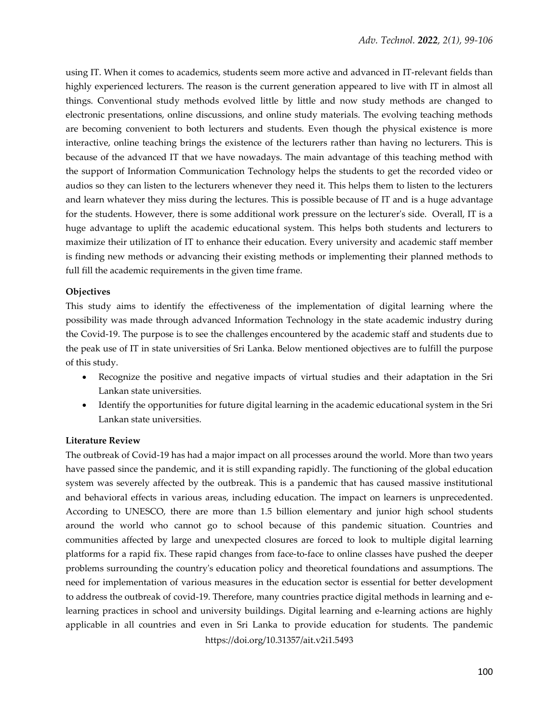using IT. When it comes to academics, students seem more active and advanced in IT-relevant fields than highly experienced lecturers. The reason is the current generation appeared to live with IT in almost all things. Conventional study methods evolved little by little and now study methods are changed to electronic presentations, online discussions, and online study materials. The evolving teaching methods are becoming convenient to both lecturers and students. Even though the physical existence is more interactive, online teaching brings the existence of the lecturers rather than having no lecturers. This is because of the advanced IT that we have nowadays. The main advantage of this teaching method with the support of Information Communication Technology helps the students to get the recorded video or audios so they can listen to the lecturers whenever they need it. This helps them to listen to the lecturers and learn whatever they miss during the lectures. This is possible because of IT and is a huge advantage for the students. However, there is some additional work pressure on the lecturer's side. Overall, IT is a huge advantage to uplift the academic educational system. This helps both students and lecturers to maximize their utilization of IT to enhance their education. Every university and academic staff member is finding new methods or advancing their existing methods or implementing their planned methods to full fill the academic requirements in the given time frame.

#### **Objectives**

This study aims to identify the effectiveness of the implementation of digital learning where the possibility was made through advanced Information Technology in the state academic industry during the Covid-19. The purpose is to see the challenges encountered by the academic staff and students due to the peak use of IT in state universities of Sri Lanka. Below mentioned objectives are to fulfill the purpose of this study.

- Recognize the positive and negative impacts of virtual studies and their adaptation in the Sri Lankan state universities.
- Identify the opportunities for future digital learning in the academic educational system in the Sri Lankan state universities.

#### **Literature Review**

https://doi.org/10.31357/ait.v2i1.5493 The outbreak of Covid-19 has had a major impact on all processes around the world. More than two years have passed since the pandemic, and it is still expanding rapidly. The functioning of the global education system was severely affected by the outbreak. This is a pandemic that has caused massive institutional and behavioral effects in various areas, including education. The impact on learners is unprecedented. According to UNESCO, there are more than 1.5 billion elementary and junior high school students around the world who cannot go to school because of this pandemic situation. Countries and communities affected by large and unexpected closures are forced to look to multiple digital learning platforms for a rapid fix. These rapid changes from face-to-face to online classes have pushed the deeper problems surrounding the country's education policy and theoretical foundations and assumptions. The need for implementation of various measures in the education sector is essential for better development to address the outbreak of covid-19. Therefore, many countries practice digital methods in learning and elearning practices in school and university buildings. Digital learning and e-learning actions are highly applicable in all countries and even in Sri Lanka to provide education for students. The pandemic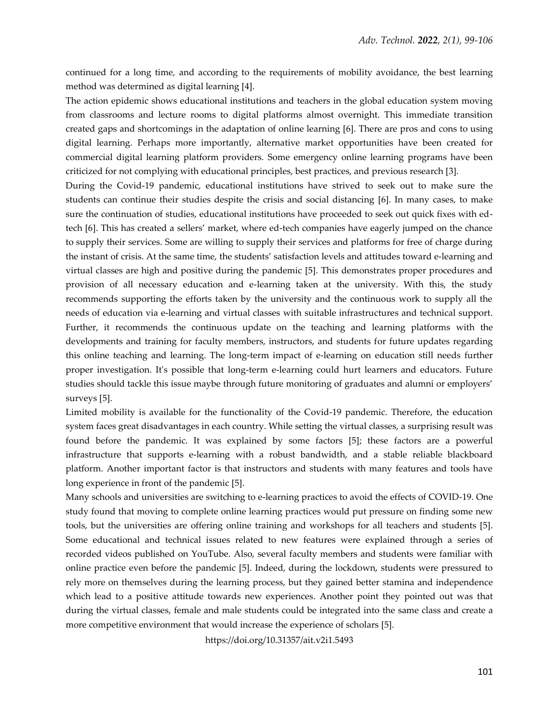continued for a long time, and according to the requirements of mobility avoidance, the best learning method was determined as digital learning [4].

The action epidemic shows educational institutions and teachers in the global education system moving from classrooms and lecture rooms to digital platforms almost overnight. This immediate transition created gaps and shortcomings in the adaptation of online learning [6]. There are pros and cons to using digital learning. Perhaps more importantly, alternative market opportunities have been created for commercial digital learning platform providers. Some emergency online learning programs have been criticized for not complying with educational principles, best practices, and previous research [3].

During the Covid-19 pandemic, educational institutions have strived to seek out to make sure the students can continue their studies despite the crisis and social distancing [6]. In many cases, to make sure the continuation of studies, educational institutions have proceeded to seek out quick fixes with edtech [6]. This has created a sellers' market, where ed-tech companies have eagerly jumped on the chance to supply their services. Some are willing to supply their services and platforms for free of charge during the instant of crisis. At the same time, the students' satisfaction levels and attitudes toward e-learning and virtual classes are high and positive during the pandemic [5]. This demonstrates proper procedures and provision of all necessary education and e-learning taken at the university. With this, the study recommends supporting the efforts taken by the university and the continuous work to supply all the needs of education via e-learning and virtual classes with suitable infrastructures and technical support. Further, it recommends the continuous update on the teaching and learning platforms with the developments and training for faculty members, instructors, and students for future updates regarding this online teaching and learning. The long-term impact of e-learning on education still needs further proper investigation. It's possible that long-term e-learning could hurt learners and educators. Future studies should tackle this issue maybe through future monitoring of graduates and alumni or employers' surveys [5].

Limited mobility is available for the functionality of the Covid-19 pandemic. Therefore, the education system faces great disadvantages in each country. While setting the virtual classes, a surprising result was found before the pandemic. It was explained by some factors [5]; these factors are a powerful infrastructure that supports e-learning with a robust bandwidth, and a stable reliable blackboard platform. Another important factor is that instructors and students with many features and tools have long experience in front of the pandemic [5].

Many schools and universities are switching to e-learning practices to avoid the effects of COVID-19. One study found that moving to complete online learning practices would put pressure on finding some new tools, but the universities are offering online training and workshops for all teachers and students [5]. Some educational and technical issues related to new features were explained through a series of recorded videos published on YouTube. Also, several faculty members and students were familiar with online practice even before the pandemic [5]. Indeed, during the lockdown, students were pressured to rely more on themselves during the learning process, but they gained better stamina and independence which lead to a positive attitude towards new experiences. Another point they pointed out was that during the virtual classes, female and male students could be integrated into the same class and create a more competitive environment that would increase the experience of scholars [5].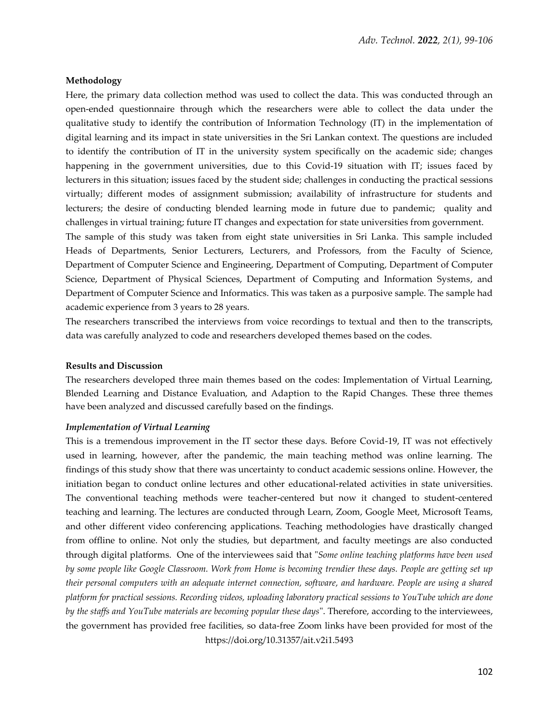#### **Methodology**

Here, the primary data collection method was used to collect the data. This was conducted through an open-ended questionnaire through which the researchers were able to collect the data under the qualitative study to identify the contribution of Information Technology (IT) in the implementation of digital learning and its impact in state universities in the Sri Lankan context. The questions are included to identify the contribution of IT in the university system specifically on the academic side; changes happening in the government universities, due to this Covid-19 situation with IT; issues faced by lecturers in this situation; issues faced by the student side; challenges in conducting the practical sessions virtually; different modes of assignment submission; availability of infrastructure for students and lecturers; the desire of conducting blended learning mode in future due to pandemic; quality and challenges in virtual training; future IT changes and expectation for state universities from government.

The sample of this study was taken from eight state universities in Sri Lanka. This sample included Heads of Departments, Senior Lecturers, Lecturers, and Professors, from the Faculty of Science, Department of Computer Science and Engineering, Department of Computing, Department of Computer Science, Department of Physical Sciences, Department of Computing and Information Systems, and Department of Computer Science and Informatics. This was taken as a purposive sample. The sample had academic experience from 3 years to 28 years.

The researchers transcribed the interviews from voice recordings to textual and then to the transcripts, data was carefully analyzed to code and researchers developed themes based on the codes.

#### **Results and Discussion**

The researchers developed three main themes based on the codes: Implementation of Virtual Learning, Blended Learning and Distance Evaluation, and Adaption to the Rapid Changes. These three themes have been analyzed and discussed carefully based on the findings.

#### *Implementation of Virtual Learning*

https://doi.org/10.31357/ait.v2i1.5493 This is a tremendous improvement in the IT sector these days. Before Covid-19, IT was not effectively used in learning, however, after the pandemic, the main teaching method was online learning. The findings of this study show that there was uncertainty to conduct academic sessions online. However, the initiation began to conduct online lectures and other educational-related activities in state universities. The conventional teaching methods were teacher-centered but now it changed to student-centered teaching and learning. The lectures are conducted through Learn, Zoom, Google Meet, Microsoft Teams, and other different video conferencing applications. Teaching methodologies have drastically changed from offline to online. Not only the studies, but department, and faculty meetings are also conducted through digital platforms. One of the interviewees said that "*Some online teaching platforms have been used by some people like Google Classroom. Work from Home is becoming trendier these days. People are getting set up their personal computers with an adequate internet connection, software, and hardware. People are using a shared platform for practical sessions. Recording videos, uploading laboratory practical sessions to YouTube which are done by the staffs and YouTube materials are becoming popular these days*". Therefore, according to the interviewees, the government has provided free facilities, so data-free Zoom links have been provided for most of the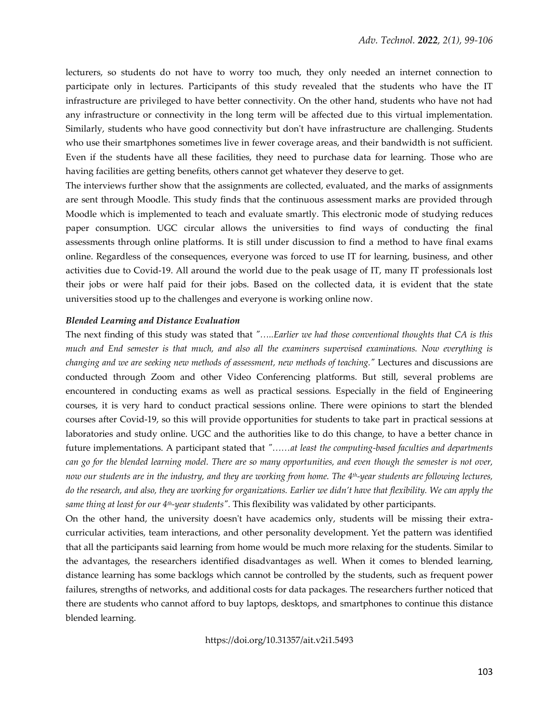lecturers, so students do not have to worry too much, they only needed an internet connection to participate only in lectures. Participants of this study revealed that the students who have the IT infrastructure are privileged to have better connectivity. On the other hand, students who have not had any infrastructure or connectivity in the long term will be affected due to this virtual implementation. Similarly, students who have good connectivity but don't have infrastructure are challenging. Students who use their smartphones sometimes live in fewer coverage areas, and their bandwidth is not sufficient. Even if the students have all these facilities, they need to purchase data for learning. Those who are having facilities are getting benefits, others cannot get whatever they deserve to get.

The interviews further show that the assignments are collected, evaluated, and the marks of assignments are sent through Moodle. This study finds that the continuous assessment marks are provided through Moodle which is implemented to teach and evaluate smartly. This electronic mode of studying reduces paper consumption. UGC circular allows the universities to find ways of conducting the final assessments through online platforms. It is still under discussion to find a method to have final exams online. Regardless of the consequences, everyone was forced to use IT for learning, business, and other activities due to Covid-19. All around the world due to the peak usage of IT, many IT professionals lost their jobs or were half paid for their jobs. Based on the collected data, it is evident that the state universities stood up to the challenges and everyone is working online now.

#### *Blended Learning and Distance Evaluation*

The next finding of this study was stated that *"…..Earlier we had those conventional thoughts that CA is this much and End semester is that much, and also all the examiners supervised examinations. Now everything is changing and we are seeking new methods of assessment, new methods of teaching."* Lectures and discussions are conducted through Zoom and other Video Conferencing platforms. But still, several problems are encountered in conducting exams as well as practical sessions. Especially in the field of Engineering courses, it is very hard to conduct practical sessions online. There were opinions to start the blended courses after Covid-19, so this will provide opportunities for students to take part in practical sessions at laboratories and study online. UGC and the authorities like to do this change, to have a better chance in future implementations. A participant stated that *"……at least the computing-based faculties and departments can go for the blended learning model. There are so many opportunities, and even though the semester is not over, now our students are in the industry, and they are working from home. The 4 th-year students are following lectures, do the research, and also, they are working for organizations. Earlier we didn't have that flexibility. We can apply the same thing at least for our 4th-year students".* This flexibility was validated by other participants.

On the other hand, the university doesn't have academics only, students will be missing their extracurricular activities, team interactions, and other personality development. Yet the pattern was identified that all the participants said learning from home would be much more relaxing for the students. Similar to the advantages, the researchers identified disadvantages as well. When it comes to blended learning, distance learning has some backlogs which cannot be controlled by the students, such as frequent power failures, strengths of networks, and additional costs for data packages. The researchers further noticed that there are students who cannot afford to buy laptops, desktops, and smartphones to continue this distance blended learning.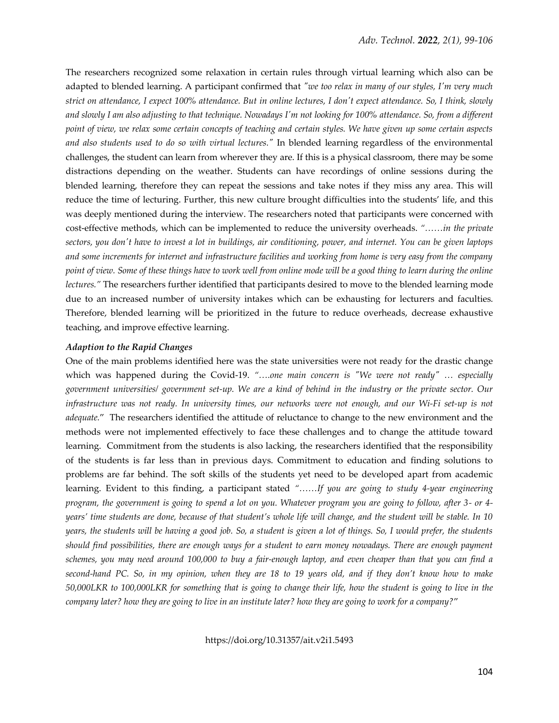The researchers recognized some relaxation in certain rules through virtual learning which also can be adapted to blended learning. A participant confirmed that *"we too relax in many of our styles, I'm very much strict on attendance, I expect 100% attendance. But in online lectures, I don't expect attendance. So, I think, slowly and slowly I am also adjusting to that technique. Nowadays I'm not looking for 100% attendance. So, from a different point of view, we relax some certain concepts of teaching and certain styles. We have given up some certain aspects and also students used to do so with virtual lectures."* In blended learning regardless of the environmental challenges, the student can learn from wherever they are. If this is a physical classroom, there may be some distractions depending on the weather. Students can have recordings of online sessions during the blended learning, therefore they can repeat the sessions and take notes if they miss any area. This will reduce the time of lecturing. Further, this new culture brought difficulties into the students' life, and this was deeply mentioned during the interview. The researchers noted that participants were concerned with cost-effective methods, which can be implemented to reduce the university overheads. *"……in the private sectors, you don't have to invest a lot in buildings, air conditioning, power, and internet. You can be given laptops and some increments for internet and infrastructure facilities and working from home is very easy from the company point of view. Some of these things have to work well from online mode will be a good thing to learn during the online lectures."* The researchers further identified that participants desired to move to the blended learning mode due to an increased number of university intakes which can be exhausting for lecturers and faculties. Therefore, blended learning will be prioritized in the future to reduce overheads, decrease exhaustive teaching, and improve effective learning.

#### *Adaption to the Rapid Changes*

One of the main problems identified here was the state universities were not ready for the drastic change which was happened during the Covid-19. "....one main concern is "We were not ready" ... especially *government universities/ government set-up. We are a kind of behind in the industry or the private sector. Our infrastructure was not ready. In university times, our networks were not enough, and our Wi-Fi set-up is not adequate.*" The researchers identified the attitude of reluctance to change to the new environment and the methods were not implemented effectively to face these challenges and to change the attitude toward learning. Commitment from the students is also lacking, the researchers identified that the responsibility of the students is far less than in previous days. Commitment to education and finding solutions to problems are far behind. The soft skills of the students yet need to be developed apart from academic learning. Evident to this finding, a participant stated *"……If you are going to study 4-year engineering program, the government is going to spend a lot on you. Whatever program you are going to follow, after 3- or 4 years' time students are done, because of that student's whole life will change, and the student will be stable. In 10 years, the students will be having a good job. So, a student is given a lot of things. So, I would prefer, the students should find possibilities, there are enough ways for a student to earn money nowadays. There are enough payment schemes, you may need around 100,000 to buy a fair-enough laptop, and even cheaper than that you can find a second-hand PC. So, in my opinion, when they are 18 to 19 years old, and if they don't know how to make 50,000LKR to 100,000LKR for something that is going to change their life, how the student is going to live in the company later? how they are going to live in an institute later? how they are going to work for a company?*"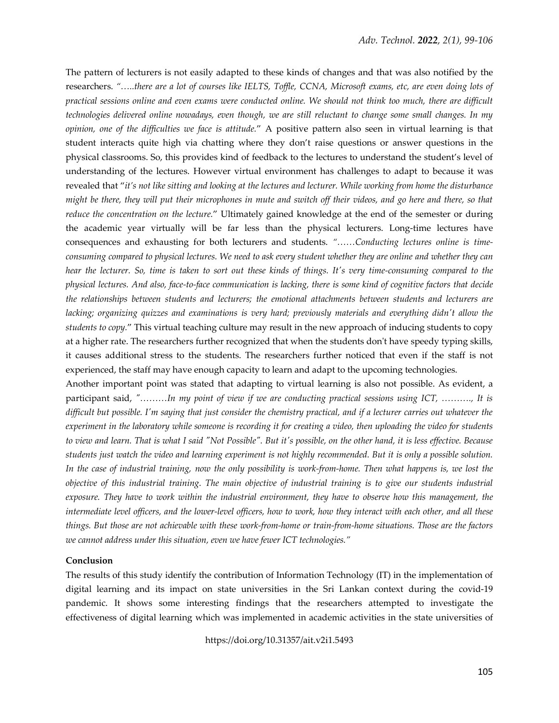The pattern of lecturers is not easily adapted to these kinds of changes and that was also notified by the researchers. *"…..there are a lot of courses like IELTS, Toffle, CCNA, Microsoft exams, etc, are even doing lots of practical sessions online and even exams were conducted online. We should not think too much, there are difficult technologies delivered online nowadays, even though, we are still reluctant to change some small changes. In my opinion, one of the difficulties we face is attitude.*" A positive pattern also seen in virtual learning is that student interacts quite high via chatting where they don't raise questions or answer questions in the physical classrooms. So, this provides kind of feedback to the lectures to understand the student's level of understanding of the lectures. However virtual environment has challenges to adapt to because it was revealed that "*it's not like sitting and looking at the lectures and lecturer. While working from home the disturbance might be there, they will put their microphones in mute and switch off their videos, and go here and there, so that reduce the concentration on the lecture.*" Ultimately gained knowledge at the end of the semester or during the academic year virtually will be far less than the physical lecturers. Long-time lectures have consequences and exhausting for both lecturers and students. *"……Conducting lectures online is timeconsuming compared to physical lectures. We need to ask every student whether they are online and whether they can hear the lecturer. So, time is taken to sort out these kinds of things. It's very time-consuming compared to the physical lectures. And also, face-to-face communication is lacking, there is some kind of cognitive factors that decide the relationships between students and lecturers; the emotional attachments between students and lecturers are lacking; organizing quizzes and examinations is very hard; previously materials and everything didn't allow the students to copy.*" This virtual teaching culture may result in the new approach of inducing students to copy at a higher rate. The researchers further recognized that when the students don't have speedy typing skills, it causes additional stress to the students. The researchers further noticed that even if the staff is not experienced, the staff may have enough capacity to learn and adapt to the upcoming technologies.

Another important point was stated that adapting to virtual learning is also not possible. As evident, a participant said, *"………In my point of view if we are conducting practical sessions using ICT, ………., It is difficult but possible. I'm saying that just consider the chemistry practical, and if a lecturer carries out whatever the experiment in the laboratory while someone is recording it for creating a video, then uploading the video for students to view and learn. That is what I said "Not Possible". But it's possible, on the other hand, it is less effective. Because students just watch the video and learning experiment is not highly recommended. But it is only a possible solution. In the case of industrial training, now the only possibility is work-from-home. Then what happens is, we lost the objective of this industrial training. The main objective of industrial training is to give our students industrial exposure. They have to work within the industrial environment, they have to observe how this management, the intermediate level officers, and the lower-level officers, how to work, how they interact with each other, and all these things. But those are not achievable with these work-from-home or train-from-home situations. Those are the factors we cannot address under this situation, even we have fewer ICT technologies."*

#### **Conclusion**

The results of this study identify the contribution of Information Technology (IT) in the implementation of digital learning and its impact on state universities in the Sri Lankan context during the covid-19 pandemic. It shows some interesting findings that the researchers attempted to investigate the effectiveness of digital learning which was implemented in academic activities in the state universities of